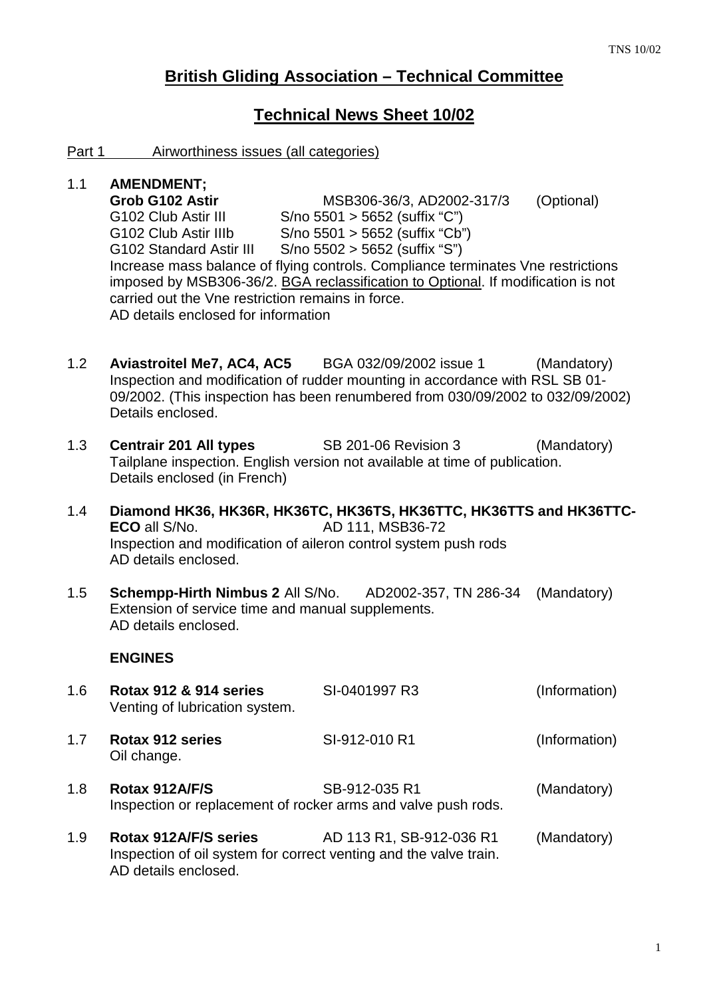# **British Gliding Association – Technical Committee**

## **Technical News Sheet 10/02**

#### Part 1 Airworthiness issues (all categories)

## 1.1 **AMENDMENT;**

**Grob G102 Astir** MSB306-36/3, AD2002-317/3 (Optional) G102 Club Astir III S/no 5501 > 5652 (suffix "C") G102 Club Astir IIIb S/no 5501 > 5652 (suffix "Cb") G102 Standard Astir III S/no 5502 > 5652 (suffix "S") Increase mass balance of flying controls. Compliance terminates Vne restrictions imposed by MSB306-36/2. BGA reclassification to Optional. If modification is not carried out the Vne restriction remains in force. AD details enclosed for information

- 1.2 **Aviastroitel Me7, AC4, AC5** BGA 032/09/2002 issue 1 (Mandatory) Inspection and modification of rudder mounting in accordance with RSL SB 01- 09/2002. (This inspection has been renumbered from 030/09/2002 to 032/09/2002) Details enclosed.
- 1.3 **Centrair 201 All types** SB 201-06 Revision 3 (Mandatory) Tailplane inspection. English version not available at time of publication. Details enclosed (in French)
- 1.4 **Diamond HK36, HK36R, HK36TC, HK36TS, HK36TTC, HK36TTS and HK36TTC-ECO** all S/No. **AD 111, MSB36-72**  Inspection and modification of aileron control system push rods AD details enclosed.
- 1.5 **Schempp-Hirth Nimbus 2** All S/No. AD2002-357, TN 286-34 (Mandatory) Extension of service time and manual supplements. AD details enclosed.

## **ENGINES**

- 1.6 **Rotax 912 & 914 series** SI-0401997 R3 (Information) Venting of lubrication system. 1.7 **Rotax 912 series** SI-912-010 R1 (Information) Oil change. 1.8 **Rotax 912A/F/S** SB-912-035 R1 (Mandatory)
- Inspection or replacement of rocker arms and valve push rods.
- 1.9 **Rotax 912A/F/S series** AD 113 R1, SB-912-036 R1 (Mandatory) Inspection of oil system for correct venting and the valve train. AD details enclosed.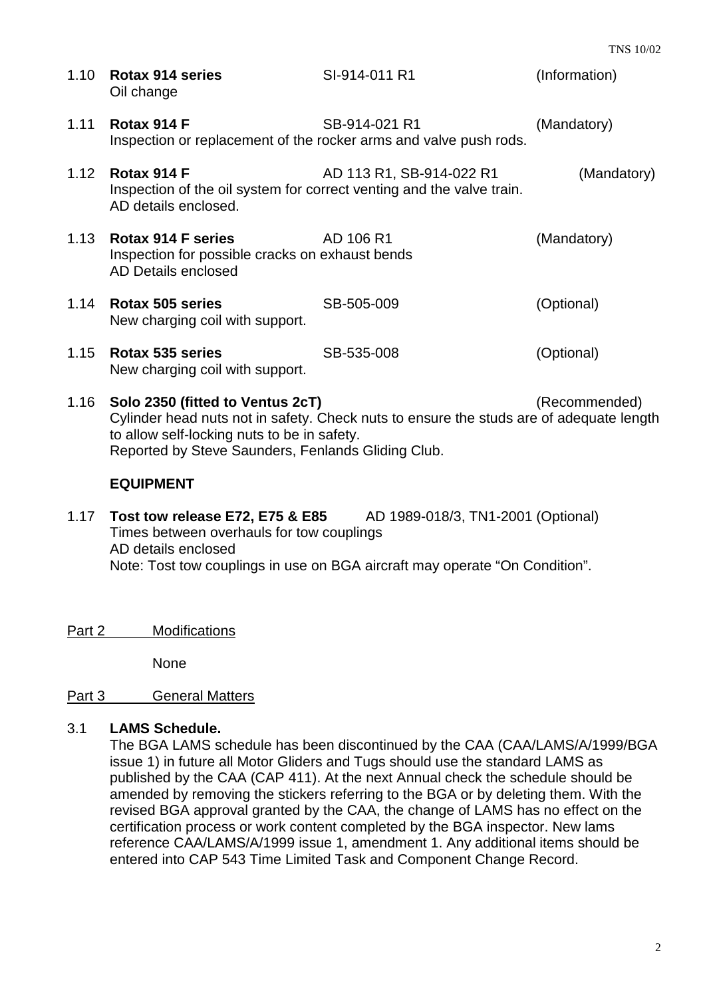|      | 1.10 Rotax 914 series<br>Oil change                                                                          | SI-914-011 R1                                                                      | (Information) |
|------|--------------------------------------------------------------------------------------------------------------|------------------------------------------------------------------------------------|---------------|
| 1.11 | Rotax 914 F                                                                                                  | SB-914-021 R1<br>Inspection or replacement of the rocker arms and valve push rods. | (Mandatory)   |
| 1.12 | Rotax 914 F<br>Inspection of the oil system for correct venting and the valve train.<br>AD details enclosed. | AD 113 R1, SB-914-022 R1                                                           | (Mandatory)   |
| 1.13 | Rotax 914 F series<br>Inspection for possible cracks on exhaust bends<br>AD Details enclosed                 | AD 106 R1                                                                          | (Mandatory)   |
| 1.14 | Rotax 505 series<br>New charging coil with support.                                                          | SB-505-009                                                                         | (Optional)    |
| 1.15 | Rotax 535 series<br>New charging coil with support.                                                          | SB-535-008                                                                         | (Optional)    |

1.16 **Solo 2350 (fitted to Ventus 2cT)** (Recommended) Cylinder head nuts not in safety. Check nuts to ensure the studs are of adequate length to allow self-locking nuts to be in safety. Reported by Steve Saunders, Fenlands Gliding Club.

## **EQUIPMENT**

1.17 **Tost tow release E72, E75 & E85** AD 1989-018/3, TN1-2001 (Optional) Times between overhauls for tow couplings AD details enclosed Note: Tost tow couplings in use on BGA aircraft may operate "On Condition".

Part 2 Modifications

None

## Part 3 General Matters

## 3.1 **LAMS Schedule.**

The BGA LAMS schedule has been discontinued by the CAA (CAA/LAMS/A/1999/BGA issue 1) in future all Motor Gliders and Tugs should use the standard LAMS as published by the CAA (CAP 411). At the next Annual check the schedule should be amended by removing the stickers referring to the BGA or by deleting them. With the revised BGA approval granted by the CAA, the change of LAMS has no effect on the certification process or work content completed by the BGA inspector. New lams reference CAA/LAMS/A/1999 issue 1, amendment 1. Any additional items should be entered into CAP 543 Time Limited Task and Component Change Record.